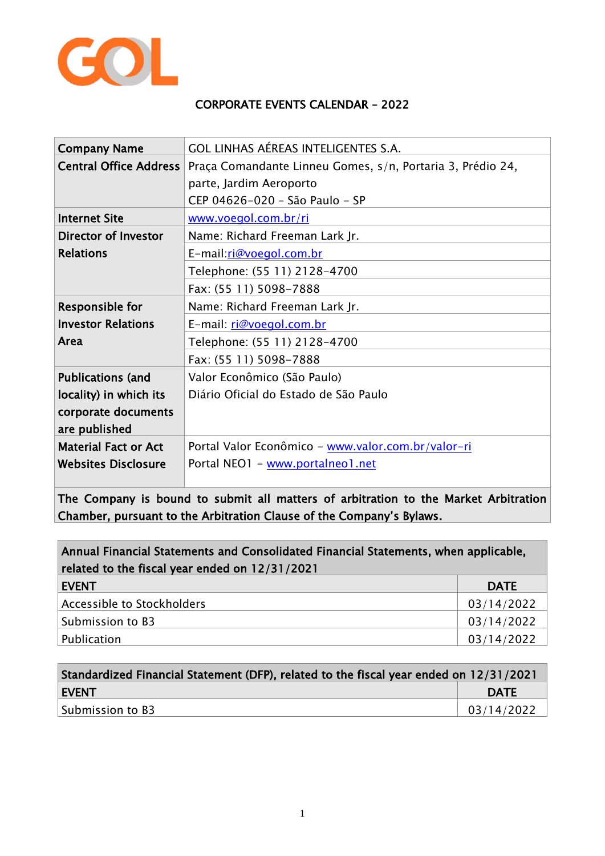

## CORPORATE EVENTS CALENDAR – 2022

| <b>Company Name</b>           | GOL LINHAS AÉREAS INTELIGENTES S.A.                        |
|-------------------------------|------------------------------------------------------------|
| <b>Central Office Address</b> | Praça Comandante Linneu Gomes, s/n, Portaria 3, Prédio 24, |
|                               | parte, Jardim Aeroporto                                    |
|                               | CEP 04626-020 - São Paulo - SP                             |
| <b>Internet Site</b>          | www.voegol.com.br/ri                                       |
| <b>Director of Investor</b>   | Name: Richard Freeman Lark Jr.                             |
| <b>Relations</b>              | E-mail:ri@voegol.com.br                                    |
|                               | Telephone: (55 11) 2128-4700                               |
|                               | Fax: (55 11) 5098-7888                                     |
| Responsible for               | Name: Richard Freeman Lark Jr.                             |
| <b>Investor Relations</b>     | E-mail: ri@voegol.com.br                                   |
| Area                          | Telephone: (55 11) 2128-4700                               |
|                               | Fax: (55 11) 5098-7888                                     |
| <b>Publications (and</b>      | Valor Econômico (São Paulo)                                |
| locality) in which its        | Diário Oficial do Estado de São Paulo                      |
| corporate documents           |                                                            |
| are published                 |                                                            |
| <b>Material Fact or Act</b>   | Portal Valor Econômico - www.valor.com.br/valor-ri         |
| <b>Websites Disclosure</b>    | Portal NEO1 - www.portalneo1.net                           |
|                               |                                                            |

The Company is bound to submit all matters of arbitration to the Market Arbitration Chamber, pursuant to the Arbitration Clause of the Company's Bylaws.

| Annual Financial Statements and Consolidated Financial Statements, when applicable,<br>related to the fiscal year ended on 12/31/2021 |             |  |
|---------------------------------------------------------------------------------------------------------------------------------------|-------------|--|
| <b>EVENT</b>                                                                                                                          | <b>DATE</b> |  |
| Accessible to Stockholders                                                                                                            | 03/14/2022  |  |
| Submission to B3                                                                                                                      | 03/14/2022  |  |
| Publication                                                                                                                           | 03/14/2022  |  |

| Standardized Financial Statement (DFP), related to the fiscal year ended on 12/31/2021 |             |  |
|----------------------------------------------------------------------------------------|-------------|--|
| <b>EVENT</b>                                                                           | <b>DATE</b> |  |
| Submission to B3                                                                       | 03/14/2022  |  |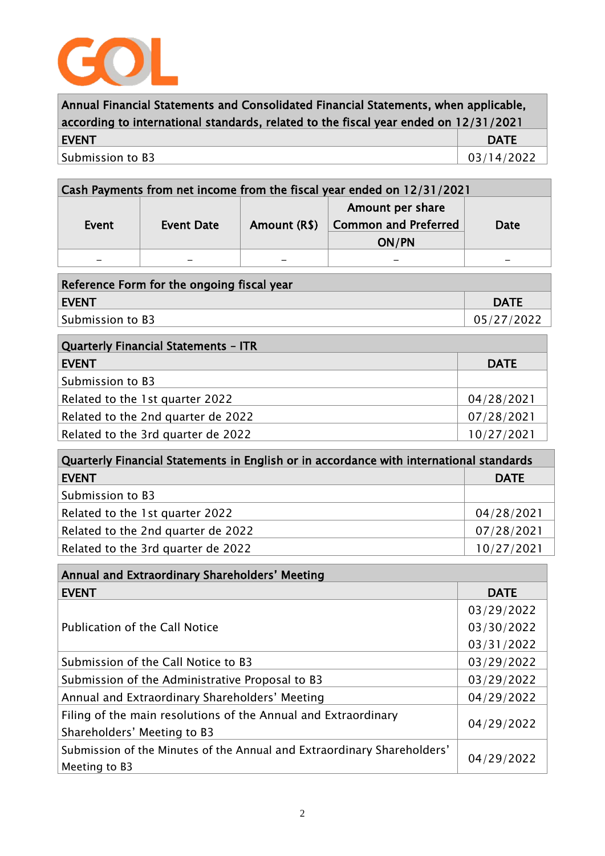

| Annual Financial Statements and Consolidated Financial Statements, when applicable,    |             |  |
|----------------------------------------------------------------------------------------|-------------|--|
| according to international standards, related to the fiscal year ended on $12/31/2021$ |             |  |
| <b>EVENT</b>                                                                           | <b>DATE</b> |  |
| Submission to B3                                                                       | 03/14/2022  |  |

| Cash Payments from net income from the fiscal year ended on 12/31/2021 |                   |              |                             |      |
|------------------------------------------------------------------------|-------------------|--------------|-----------------------------|------|
|                                                                        |                   |              | Amount per share            |      |
| Event                                                                  | <b>Event Date</b> | Amount (R\$) | <b>Common and Preferred</b> | Date |
|                                                                        |                   |              | ON/PN                       |      |
| -                                                                      |                   |              |                             |      |

| Reference Form for the ongoing fiscal year |             |  |
|--------------------------------------------|-------------|--|
| <b>EVENT</b>                               | <b>DATE</b> |  |
| Submission to B3                           | 05/27/2022  |  |

| Quarterly Financial Statements - ITR |             |
|--------------------------------------|-------------|
| <b>EVENT</b>                         | <b>DATE</b> |
| Submission to B3                     |             |
| Related to the 1st quarter 2022      | 04/28/2021  |
| Related to the 2nd quarter de 2022   | 07/28/2021  |
| Related to the 3rd quarter de 2022   | 10/27/2021  |

| Quarterly Financial Statements in English or in accordance with international standards |             |  |
|-----------------------------------------------------------------------------------------|-------------|--|
| <b>EVENT</b>                                                                            | <b>DATE</b> |  |
| Submission to B3                                                                        |             |  |
| Related to the 1st quarter 2022                                                         | 04/28/2021  |  |
| Related to the 2nd quarter de 2022                                                      | 07/28/2021  |  |
| Related to the 3rd quarter de 2022                                                      | 10/27/2021  |  |

| Annual and Extraordinary Shareholders' Meeting                                                |             |  |
|-----------------------------------------------------------------------------------------------|-------------|--|
| <b>EVENT</b>                                                                                  | <b>DATE</b> |  |
|                                                                                               | 03/29/2022  |  |
| Publication of the Call Notice                                                                | 03/30/2022  |  |
|                                                                                               | 03/31/2022  |  |
| Submission of the Call Notice to B3                                                           | 03/29/2022  |  |
| Submission of the Administrative Proposal to B3                                               | 03/29/2022  |  |
| Annual and Extraordinary Shareholders' Meeting                                                | 04/29/2022  |  |
| Filing of the main resolutions of the Annual and Extraordinary<br>Shareholders' Meeting to B3 | 04/29/2022  |  |
| Submission of the Minutes of the Annual and Extraordinary Shareholders'<br>Meeting to B3      | 04/29/2022  |  |